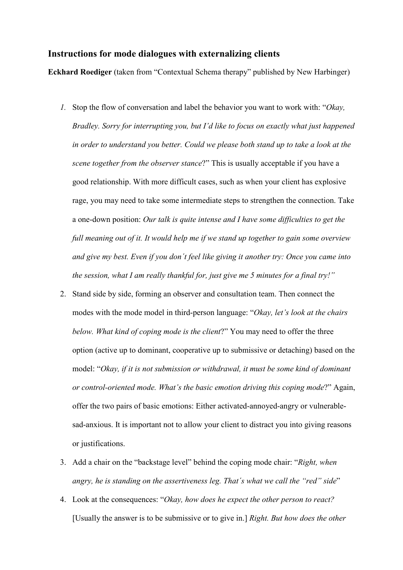## **Instructions for mode dialogues with externalizing clients**

**Eckhard Roediger** (taken from "Contextual Schema therapy" published by New Harbinger)

- *1.* Stop the flow of conversation and label the behavior you want to work with: "*Okay, Bradley. Sorry for interrupting you, but I'd like to focus on exactly what just happened in order to understand you better. Could we please both stand up to take a look at the scene together from the observer stance*?" This is usually acceptable if you have a good relationship. With more difficult cases, such as when your client has explosive rage, you may need to take some intermediate steps to strengthen the connection. Take a one-down position: *Our talk is quite intense and I have some difficulties to get the full meaning out of it. It would help me if we stand up together to gain some overview and give my best. Even if you don´t feel like giving it another try: Once you came into the session, what I am really thankful for, just give me 5 minutes for a final try!"*
- 2. Stand side by side, forming an observer and consultation team. Then connect the modes with the mode model in third-person language: "*Okay, let's look at the chairs below. What kind of coping mode is the client*?" You may need to offer the three option (active up to dominant, cooperative up to submissive or detaching) based on the model: "*Okay, if it is not submission or withdrawal, it must be some kind of dominant or control-oriented mode. What's the basic emotion driving this coping mode*?" Again, offer the two pairs of basic emotions: Either activated-annoyed-angry or vulnerablesad-anxious. It is important not to allow your client to distract you into giving reasons or justifications.
- 3. Add a chair on the "backstage level" behind the coping mode chair: "*Right, when angry, he is standing on the assertiveness leg. That´s what we call the "red" side*"
- 4. Look at the consequences: "*Okay, how does he expect the other person to react?* [Usually the answer is to be submissive or to give in.] *Right. But how does the other*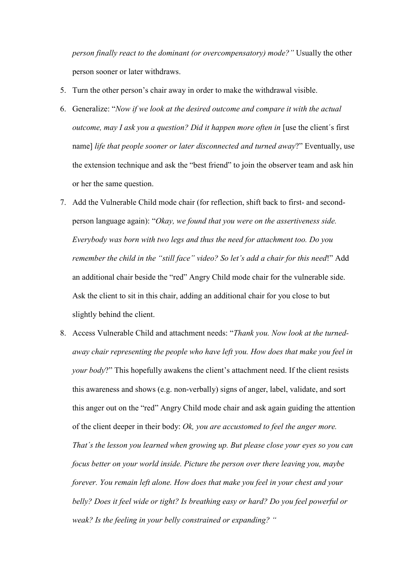*person finally react to the dominant (or overcompensatory) mode?"* Usually the other person sooner or later withdraws.

- 5. Turn the other person's chair away in order to make the withdrawal visible.
- 6. Generalize: "*Now if we look at the desired outcome and compare it with the actual outcome, may I ask you a question? Did it happen more often in* [use the client's first name] *life that people sooner or later disconnected and turned away*?" Eventually, use the extension technique and ask the "best friend" to join the observer team and ask hin or her the same question.
- 7. Add the Vulnerable Child mode chair (for reflection, shift back to first- and secondperson language again): "*Okay, we found that you were on the assertiveness side. Everybody was born with two legs and thus the need for attachment too. Do you remember the child in the "still face" video? So let's add a chair for this need*!" Add an additional chair beside the "red" Angry Child mode chair for the vulnerable side. Ask the client to sit in this chair, adding an additional chair for you close to but slightly behind the client.
- 8. Access Vulnerable Child and attachment needs: "*Thank you. Now look at the turnedaway chair representing the people who have left you. How does that make you feel in your body*?" This hopefully awakens the client's attachment need. If the client resists this awareness and shows (e.g. non-verbally) signs of anger, label, validate, and sort this anger out on the "red" Angry Child mode chair and ask again guiding the attention of the client deeper in their body: *Ok, you are accustomed to feel the anger more. That´s the lesson you learned when growing up. But please close your eyes so you can focus better on your world inside. Picture the person over there leaving you, maybe forever. You remain left alone. How does that make you feel in your chest and your belly? Does it feel wide or tight? Is breathing easy or hard? Do you feel powerful or weak? Is the feeling in your belly constrained or expanding? "*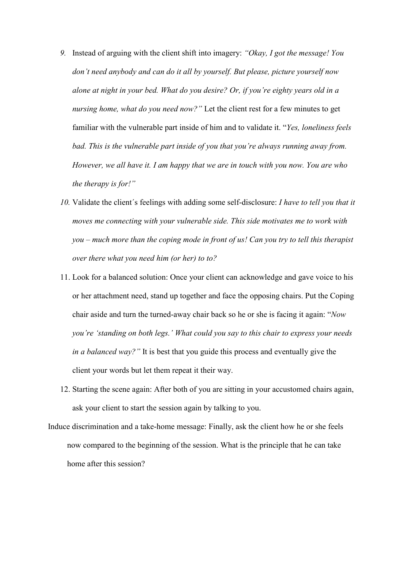- *9.* Instead of arguing with the client shift into imagery: *"Okay, I got the message! You don't need anybody and can do it all by yourself. But please, picture yourself now alone at night in your bed. What do you desire? Or, if you're eighty years old in a nursing home, what do you need now?"* Let the client rest for a few minutes to get familiar with the vulnerable part inside of him and to validate it. "*Yes, loneliness feels*  bad. This is the vulnerable part inside of you that you're always running away from. *However, we all have it. I am happy that we are in touch with you now. You are who the therapy is for!"*
- *10.* Validate the client´s feelings with adding some self-disclosure: *I have to tell you that it moves me connecting with your vulnerable side. This side motivates me to work with you – much more than the coping mode in front of us! Can you try to tell this therapist over there what you need him (or her) to to?*
- 11. Look for a balanced solution: Once your client can acknowledge and gave voice to his or her attachment need, stand up together and face the opposing chairs. Put the Coping chair aside and turn the turned-away chair back so he or she is facing it again: "*Now you're 'standing on both legs.' What could you say to this chair to express your needs in a balanced way?"* It is best that you guide this process and eventually give the client your words but let them repeat it their way.
- 12. Starting the scene again: After both of you are sitting in your accustomed chairs again, ask your client to start the session again by talking to you.
- Induce discrimination and a take-home message: Finally, ask the client how he or she feels now compared to the beginning of the session. What is the principle that he can take home after this session?